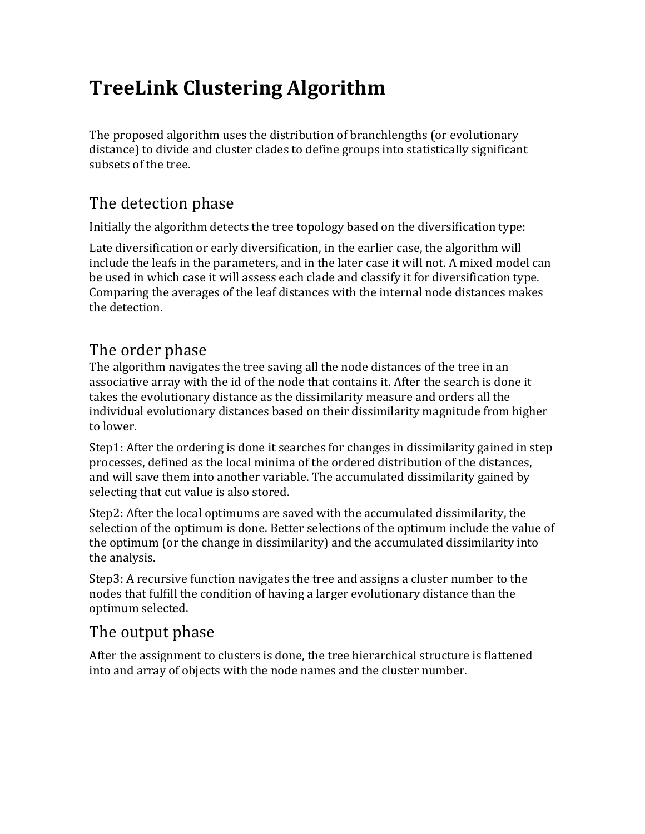# **TreeLink Clustering Algorithm**

The proposed algorithm uses the distribution of branchlengths (or evolutionary distance) to divide and cluster clades to define groups into statistically significant subsets of the tree.

## The detection phase

Initially the algorithm detects the tree topology based on the diversification type:

Late diversification or early diversification, in the earlier case, the algorithm will include the leafs in the parameters, and in the later case it will not. A mixed model can be used in which case it will assess each clade and classify it for diversification type. Comparing the averages of the leaf distances with the internal node distances makes the detection.

#### The order phase

The algorithm navigates the tree saving all the node distances of the tree in an associative array with the id of the node that contains it. After the search is done it takes the evolutionary distance as the dissimilarity measure and orders all the individual evolutionary distances based on their dissimilarity magnitude from higher to lower.

Step1: After the ordering is done it searches for changes in dissimilarity gained in step processes, defined as the local minima of the ordered distribution of the distances, and will save them into another variable. The accumulated dissimilarity gained by selecting that cut value is also stored.

Step2: After the local optimums are saved with the accumulated dissimilarity, the selection of the optimum is done. Better selections of the optimum include the value of the optimum (or the change in dissimilarity) and the accumulated dissimilarity into the analysis.

Step3: A recursive function navigates the tree and assigns a cluster number to the nodes that fulfill the condition of having a larger evolutionary distance than the optimum selected.

## The output phase

After the assignment to clusters is done, the tree hierarchical structure is flattened into and array of objects with the node names and the cluster number.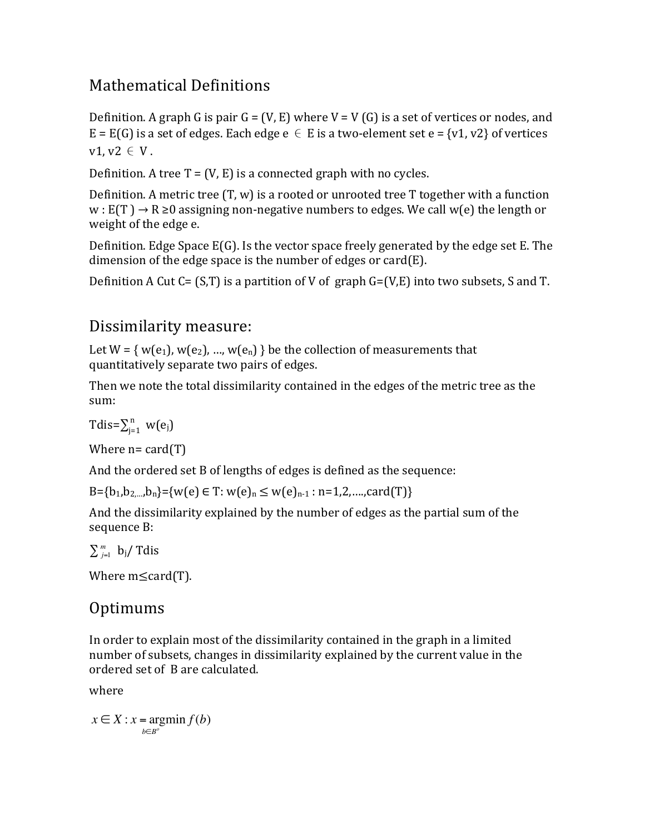### Mathematical Definitions

Definition. A graph G is pair G = (V, E) where  $V = V(G)$  is a set of vertices or nodes, and  $E = E(G)$  is a set of edges. Each edge  $e \in E$  is a two-element set  $e = \{v1, v2\}$  of vertices  $v1$ ,  $v2 \in V$ .

Definition. A tree  $T = (V, E)$  is a connected graph with no cycles.

Definition. A metric tree  $(T, w)$  is a rooted or unrooted tree T together with a function  $w: E(T) \rightarrow R \ge 0$  assigning non-negative numbers to edges. We call w(e) the length or weight of the edge e.

Definition. Edge Space  $E(G)$ . Is the vector space freely generated by the edge set E. The dimension of the edge space is the number of edges or  $card(E)$ .

Definition A Cut  $C = (S,T)$  is a partition of V of graph  $G = (V,E)$  into two subsets, S and T.

## Dissimilarity measure:

Let  $W = \{ w(e_1), w(e_2), ..., w(e_n) \}$  be the collection of measurements that quantitatively separate two pairs of edges.

Then we note the total dissimilarity contained in the edges of the metric tree as the sum:

$$
Tdis = \sum_{j=1}^{n} w(e_j)
$$

Where  $n = \text{card}(T)$ 

And the ordered set B of lengths of edges is defined as the sequence:

B={b<sub>1</sub>,b<sub>2,…</sub>,b<sub>n</sub>}={w(e)  $\in$  T: w(e)<sub>n</sub>  $\leq$  w(e)<sub>n-1</sub> : n=1,2,....,card(T)}

And the dissimilarity explained by the number of edges as the partial sum of the sequence B:

 $\sum_{j=1}^{m}$  b<sub>j</sub>/ Tdis

Where  $m \leq card(T)$ .

### **Optimums**

In order to explain most of the dissimilarity contained in the graph in a limited number of subsets, changes in dissimilarity explained by the current value in the ordered set of B are calculated.

where

 $x \in X$  :  $x = \text{argmin } f(b)$ *b*∈*B<sup>o</sup>*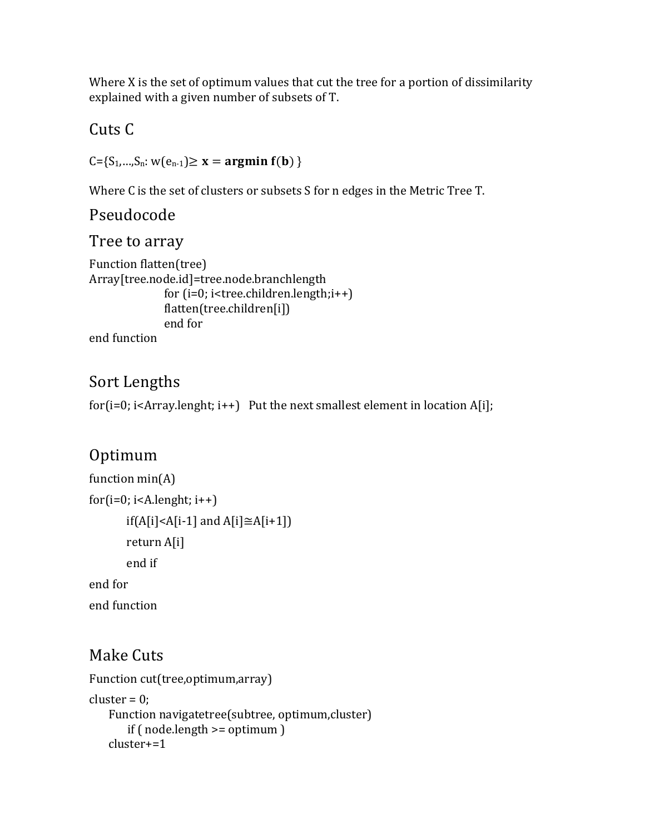Where  $X$  is the set of optimum values that cut the tree for a portion of dissimilarity explained with a given number of subsets of T.

Cuts C

 $C = \{S_1, ..., S_n : w(e_{n-1}) \ge x = \text{argmin } f(b) \}$ 

Where C is the set of clusters or subsets S for n edges in the Metric Tree T.

#### Pseudocode

#### Tree to array

```
Function flatten(tree)
Array[tree.node.id]=tree.node.branchlength
              for (i=0; i <tree.children.length;i++)flatten(tree.children[i])
              end for
```
end function

#### Sort Lengths

for( $i=0$ ;  $i$ <Array.lenght;  $i++$ ) Put the next smallest element in location A[i];

### Optimum

```
function min(A)for(i=0; i < A.length; i++)if(A[i]<A[i-1] and A[i] \cong A[i+1])
       return	A[i]
       end	if
end	for
end function
```
### **Make Cuts**

```
Function cut(tree,optimum,array)
cluster = 0;
   Function navigatetree(subtree, optimum,cluster)
      if ( node.length >= optimum )cluster+=1
```